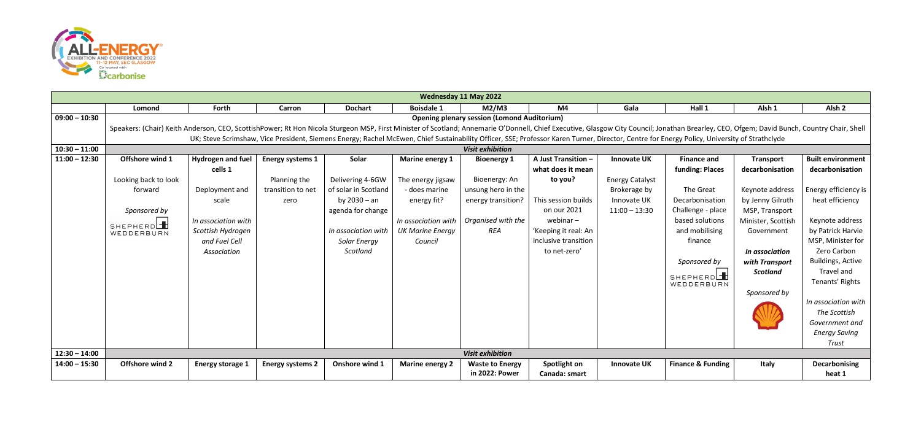

|                 | Wednesday 11 May 2022                                                                                                                                                                                                                                                                                                                                                                                                                                                               |                                                                                                                                     |                                                                      |                                                                                                                                             |                                                                                                                                   |                                                                                                              |                                                                                                                                                                          |                                                                                                |                                                                                                                                                                                                   |                                                                                                                                                                                                         |                                                                                                                                                                                                                                                                                                                  |  |
|-----------------|-------------------------------------------------------------------------------------------------------------------------------------------------------------------------------------------------------------------------------------------------------------------------------------------------------------------------------------------------------------------------------------------------------------------------------------------------------------------------------------|-------------------------------------------------------------------------------------------------------------------------------------|----------------------------------------------------------------------|---------------------------------------------------------------------------------------------------------------------------------------------|-----------------------------------------------------------------------------------------------------------------------------------|--------------------------------------------------------------------------------------------------------------|--------------------------------------------------------------------------------------------------------------------------------------------------------------------------|------------------------------------------------------------------------------------------------|---------------------------------------------------------------------------------------------------------------------------------------------------------------------------------------------------|---------------------------------------------------------------------------------------------------------------------------------------------------------------------------------------------------------|------------------------------------------------------------------------------------------------------------------------------------------------------------------------------------------------------------------------------------------------------------------------------------------------------------------|--|
|                 | <b>Lomond</b>                                                                                                                                                                                                                                                                                                                                                                                                                                                                       | Forth                                                                                                                               | Carron                                                               | <b>Dochart</b>                                                                                                                              | <b>Boisdale 1</b>                                                                                                                 | M2/M3                                                                                                        | M4                                                                                                                                                                       | Gala                                                                                           | Hall 1                                                                                                                                                                                            | Alsh <sub>1</sub>                                                                                                                                                                                       | Alsh <sub>2</sub>                                                                                                                                                                                                                                                                                                |  |
| $09:00 - 10:30$ | <b>Opening plenary session (Lomond Auditorium)</b><br>Speakers: (Chair) Keith Anderson, CEO, ScottishPower; Rt Hon Nicola Sturgeon MSP, First Minister of Scotland; Annemarie O'Donnell, Chief Executive, Glasgow City Council; Jonathan Brearley, CEO, Ofgem; David Bunch, Country<br>UK; Steve Scrimshaw, Vice President, Siemens Energy; Rachel McEwen, Chief Sustainability Officer, SSE; Professor Karen Turner, Director, Centre for Energy Policy, University of Strathclyde |                                                                                                                                     |                                                                      |                                                                                                                                             |                                                                                                                                   |                                                                                                              |                                                                                                                                                                          |                                                                                                |                                                                                                                                                                                                   |                                                                                                                                                                                                         |                                                                                                                                                                                                                                                                                                                  |  |
| $10:30 - 11:00$ | <b>Visit exhibition</b>                                                                                                                                                                                                                                                                                                                                                                                                                                                             |                                                                                                                                     |                                                                      |                                                                                                                                             |                                                                                                                                   |                                                                                                              |                                                                                                                                                                          |                                                                                                |                                                                                                                                                                                                   |                                                                                                                                                                                                         |                                                                                                                                                                                                                                                                                                                  |  |
| $11:00 - 12:30$ | Offshore wind 1<br>Looking back to look<br>forward<br>Sponsored by<br>SHEPHERD<br>WEDDERBURN                                                                                                                                                                                                                                                                                                                                                                                        | Hydrogen and fuel<br>cells 1<br>Deployment and<br>scale<br>In association with<br>Scottish Hydrogen<br>and Fuel Cell<br>Association | <b>Energy systems 1</b><br>Planning the<br>transition to net<br>zero | Solar<br>Delivering 4-6GW<br>of solar in Scotland<br>by $2030 - an$<br>agenda for change<br>In association with<br>Solar Energy<br>Scotland | Marine energy 1<br>The energy jigsaw<br>- does marine<br>energy fit?<br>In association with<br><b>UK Marine Energy</b><br>Council | <b>Bioenergy 1</b><br>Bioenergy: An<br>unsung hero in the<br>energy transition?<br>Organised with the<br>REA | A Just Transition -<br>what does it mean<br>to you?<br>This session builds<br>on our 2021<br>webinar $-$<br>'Keeping it real: An<br>inclusive transition<br>to net-zero' | <b>Innovate UK</b><br><b>Energy Catalyst</b><br>Brokerage by<br>Innovate UK<br>$11:00 - 13:30$ | <b>Finance and</b><br>funding: Places<br>The Great<br>Decarbonisation<br>Challenge - place<br>based solutions<br>and mobilising<br>finance<br>Sponsored by<br>SHEPHERD <sup>-</sup><br>WEDDERBURN | <b>Transport</b><br>decarbonisation<br>Keynote address<br>by Jenny Gilruth<br>MSP, Transport<br>Minister, Scottish<br>Government<br>In association<br>with Transport<br><b>Scotland</b><br>Sponsored by | <b>Built environment</b><br>decarbonisation<br>Energy efficiency is<br>heat efficiency<br>Keynote address<br>by Patrick Harvie<br>MSP, Minister for<br>Zero Carbon<br><b>Buildings, Active</b><br>Travel and<br>Tenants' Rights<br>In association with<br>The Scottish<br>Government and<br><b>Energy Saving</b> |  |
|                 |                                                                                                                                                                                                                                                                                                                                                                                                                                                                                     |                                                                                                                                     |                                                                      |                                                                                                                                             |                                                                                                                                   |                                                                                                              |                                                                                                                                                                          |                                                                                                |                                                                                                                                                                                                   |                                                                                                                                                                                                         | Trust                                                                                                                                                                                                                                                                                                            |  |
| $12:30 - 14:00$ |                                                                                                                                                                                                                                                                                                                                                                                                                                                                                     |                                                                                                                                     |                                                                      |                                                                                                                                             |                                                                                                                                   | <b>Visit exhibition</b>                                                                                      |                                                                                                                                                                          |                                                                                                |                                                                                                                                                                                                   |                                                                                                                                                                                                         |                                                                                                                                                                                                                                                                                                                  |  |
| $14:00 - 15:30$ | Offshore wind 2                                                                                                                                                                                                                                                                                                                                                                                                                                                                     | <b>Energy storage 1</b>                                                                                                             | <b>Energy systems 2</b>                                              | Onshore wind 1                                                                                                                              | <b>Marine energy 2</b>                                                                                                            | <b>Waste to Energy</b><br>in 2022: Power                                                                     | Spotlight on<br>Canada: smart                                                                                                                                            | <b>Innovate UK</b>                                                                             | <b>Finance &amp; Funding</b>                                                                                                                                                                      | Italy                                                                                                                                                                                                   | Decarbonising<br>heat 1                                                                                                                                                                                                                                                                                          |  |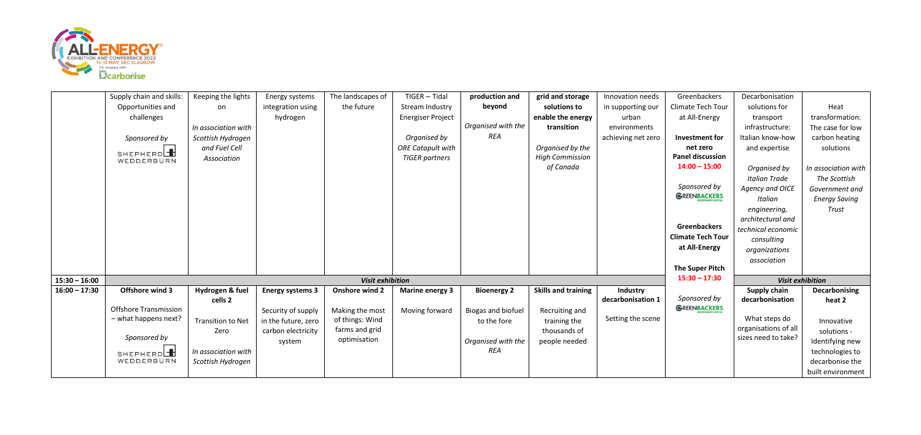

|                 | Supply chain and skills:     | Keeping the lights       | Energy systems          | The landscapes of       | TIGER - Tidal            | production and     | grid and storage           | Innovation needs   | Greenbackers             | Decarbonisation                             |                      |
|-----------------|------------------------------|--------------------------|-------------------------|-------------------------|--------------------------|--------------------|----------------------------|--------------------|--------------------------|---------------------------------------------|----------------------|
|                 | Opportunities and            | on                       | integration using       | the future              | Stream Industry          | beyond             | solutions to               | in supporting our  | Climate Tech Tour        | solutions for                               | Heat                 |
|                 | challenges                   |                          | hydrogen                |                         | <b>Energiser Project</b> |                    | enable the energy          | urban              | at All-Energy            | transport                                   | transformation:      |
|                 |                              | In association with      |                         |                         |                          | Organised with the | transition                 | environments       |                          | infrastructure:                             | The case for low     |
|                 | Sponsored by                 | Scottish Hydrogen        |                         |                         | Organised by             | REA                |                            | achieving net zero | Investment for           | Italian know-how                            | carbon heating       |
|                 |                              | and Fuel Cell            |                         |                         | <b>ORE Catapult with</b> |                    | Organised by the           |                    | net zero                 | and expertise                               | solutions            |
|                 | SHEPHERDH<br>WEDDERBURN      | Association              |                         |                         | <b>TIGER</b> partners    |                    | <b>High Commission</b>     |                    | <b>Panel discussion</b>  |                                             |                      |
|                 |                              |                          |                         |                         |                          |                    | of Canada                  |                    | $14:00 - 15:00$          | Organised by                                | In association with  |
|                 |                              |                          |                         |                         |                          |                    |                            |                    |                          | <b>Italian Trade</b>                        | The Scottish         |
|                 |                              |                          |                         |                         |                          |                    |                            |                    | Sponsored by             | Agency and OICE                             | Government and       |
|                 |                              |                          |                         |                         |                          |                    |                            |                    | GREENBACKERS             | Italian                                     | <b>Energy Saving</b> |
|                 |                              |                          |                         |                         |                          |                    |                            |                    |                          | engineering,                                | <b>Trust</b>         |
|                 |                              |                          |                         |                         |                          |                    |                            |                    |                          | architectural and                           |                      |
|                 |                              |                          |                         |                         |                          |                    |                            |                    | <b>Greenbackers</b>      | technical economic                          |                      |
|                 |                              |                          |                         |                         |                          |                    |                            |                    | <b>Climate Tech Tour</b> | consulting                                  |                      |
|                 |                              |                          |                         |                         |                          |                    |                            |                    | at All-Energy            | organizations                               |                      |
|                 |                              |                          |                         |                         |                          |                    |                            |                    |                          | association                                 |                      |
|                 |                              |                          |                         |                         |                          |                    |                            |                    | The Super Pitch          |                                             |                      |
| $15:30 - 16:00$ |                              |                          |                         | <b>Visit exhibition</b> |                          |                    |                            | $15:30 - 17:30$    |                          | <b>Visit exhibition</b>                     |                      |
| $16:00 - 17:30$ | Offshore wind 3              | Hydrogen & fuel          | <b>Energy systems 3</b> | <b>Onshore wind 2</b>   | <b>Marine energy 3</b>   | <b>Bioenergy 2</b> | <b>Skills and training</b> | Industry           |                          | Supply chain                                | <b>Decarbonising</b> |
|                 |                              | cells 2                  |                         |                         |                          |                    |                            | decarbonisation 1  | Sponsored by             | decarbonisation                             | heat 2               |
|                 | <b>Offshore Transmission</b> |                          | Security of supply      | Making the most         | Moving forward           | Biogas and biofuel | Recruiting and             |                    | GREENBACKERS             |                                             |                      |
|                 | - what happens next?         | <b>Transition to Net</b> | in the future, zero     | of things: Wind         |                          | to the fore        | training the               | Setting the scene  |                          | What steps do                               | Innovative           |
|                 | Sponsored by                 | Zero                     | carbon electricity      | farms and grid          |                          |                    | thousands of               |                    |                          | organisations of all<br>sizes need to take? | solutions -          |
|                 |                              |                          | system                  | optimisation            |                          | Organised with the | people needed              |                    |                          |                                             | Identifying new      |
|                 | SHEPHERDL                    | In association with      |                         |                         |                          | <b>REA</b>         |                            |                    |                          |                                             | technologies to      |
|                 | WEDDERBURN                   | Scottish Hydrogen        |                         |                         |                          |                    |                            |                    |                          |                                             | decarbonise the      |
|                 |                              |                          |                         |                         |                          |                    |                            |                    |                          |                                             | built environment    |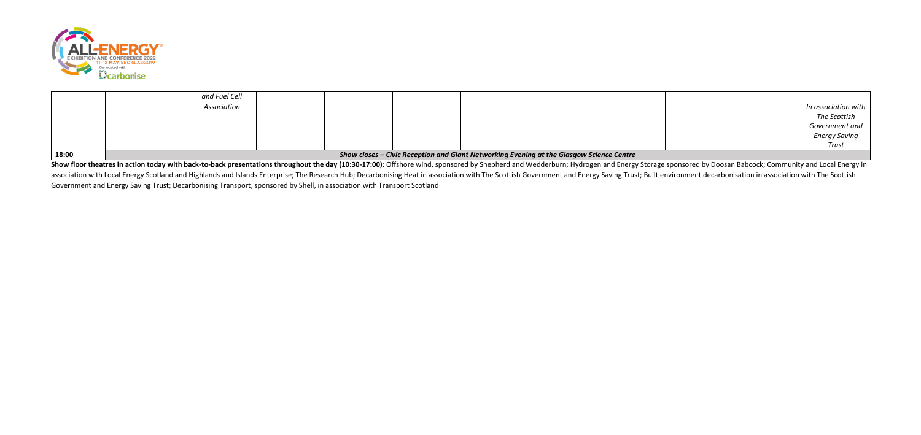

| 18:00 | Show closes - Civic Reception and Giant Networking Evening at the Glasgow Science Centre |  |  |  |  |  |  |  |  |                      |
|-------|------------------------------------------------------------------------------------------|--|--|--|--|--|--|--|--|----------------------|
|       |                                                                                          |  |  |  |  |  |  |  |  | Trust                |
|       |                                                                                          |  |  |  |  |  |  |  |  | <b>Energy Saving</b> |
|       |                                                                                          |  |  |  |  |  |  |  |  | Government and       |
|       |                                                                                          |  |  |  |  |  |  |  |  | The Scottish         |
|       | Association                                                                              |  |  |  |  |  |  |  |  | In association with  |
|       | and Fuel Cell                                                                            |  |  |  |  |  |  |  |  |                      |

Show floor theatres in action today with back-to-back presentations throughout the day (10:30-17:00): Offshore wind, sponsored by Shepherd and Wedderburn; Hydrogen and Energy Storage sponsored by Doosan Babcock; Community association with Local Energy Scotland and Highlands and Islands Enterprise; The Research Hub; Decarbonising Heat in association with The Scottish Government and Energy Saving Trust; Built environment decarbonisation in as Government and Energy Saving Trust; Decarbonising Transport, sponsored by Shell, in association with Transport Scotland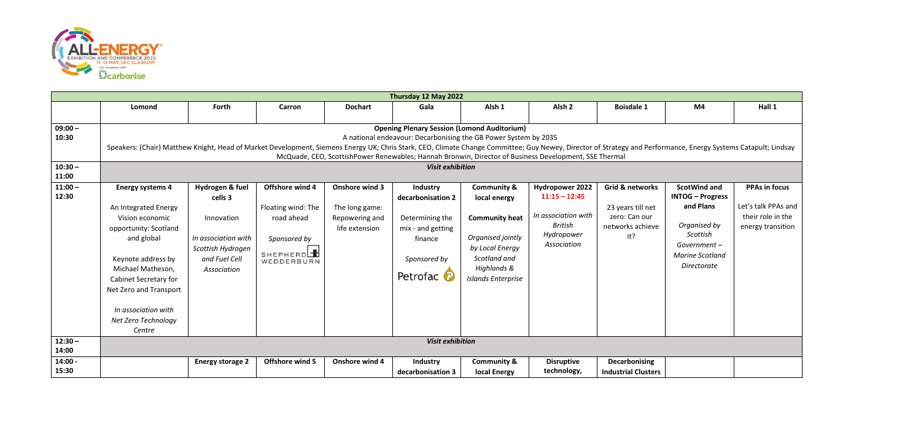

|                    | Thursday 12 May 2022                                                                                                                                                                                           |                         |                    |                |                                                    |                           |                                       |                            |                         |                      |  |  |
|--------------------|----------------------------------------------------------------------------------------------------------------------------------------------------------------------------------------------------------------|-------------------------|--------------------|----------------|----------------------------------------------------|---------------------------|---------------------------------------|----------------------------|-------------------------|----------------------|--|--|
|                    | Lomond                                                                                                                                                                                                         | Forth                   | Carron             | <b>Dochart</b> | Gala                                               | Alsh <sub>1</sub>         | Alsh <sub>2</sub>                     | <b>Boisdale 1</b>          | M4                      | Hall 1               |  |  |
| $09:00 -$          |                                                                                                                                                                                                                |                         |                    |                | <b>Opening Plenary Session (Lomond Auditorium)</b> |                           |                                       |                            |                         |                      |  |  |
| 10:30              | A national endeavour: Decarbonising the GB Power System by 2035                                                                                                                                                |                         |                    |                |                                                    |                           |                                       |                            |                         |                      |  |  |
|                    | Speakers: (Chair) Matthew Knight, Head of Market Development, Siemens Energy UK; Chris Stark, CEO, Climate Change Committee; Guy Newey, Director of Strategy and Performance, Energy Systems Catapult; Lindsay |                         |                    |                |                                                    |                           |                                       |                            |                         |                      |  |  |
|                    | McQuade, CEO, ScottishPower Renewables; Hannah Bronwin, Director of Business Development, SSE Thermal                                                                                                          |                         |                    |                |                                                    |                           |                                       |                            |                         |                      |  |  |
| $10:30 -$<br>11:00 | <b>Visit exhibition</b>                                                                                                                                                                                        |                         |                    |                |                                                    |                           |                                       |                            |                         |                      |  |  |
| $11:00 -$          | <b>Energy systems 4</b>                                                                                                                                                                                        | Hydrogen & fuel         | Offshore wind 4    | Onshore wind 3 | Industry                                           | <b>Community &amp;</b>    | <b>Hydropower 2022</b>                | Grid & networks            | <b>ScotWind and</b>     | <b>PPAs in focus</b> |  |  |
| 12:30              |                                                                                                                                                                                                                | cells 3                 |                    |                | decarbonisation 2                                  | local energy              | $11:15 - 12:45$                       |                            | <b>INTOG - Progress</b> |                      |  |  |
|                    | An Integrated Energy                                                                                                                                                                                           |                         | Floating wind: The | The long game: |                                                    |                           |                                       | 23 years till net          | and Plans               | Let's talk PPAs and  |  |  |
|                    | Vision economic                                                                                                                                                                                                | Innovation              | road ahead         | Repowering and | Determining the                                    | <b>Community heat</b>     | In association with<br><b>British</b> | zero: Can our              | Organised by            | their role in the    |  |  |
|                    | opportunity: Scotland                                                                                                                                                                                          |                         |                    | life extension | mix - and getting                                  |                           | Hydropower                            | networks achieve           | Scottish                | energy transition    |  |  |
|                    | and global                                                                                                                                                                                                     | In association with     | Sponsored by       |                | finance                                            | Organised jointly         | Association                           | it?                        | Government-             |                      |  |  |
|                    |                                                                                                                                                                                                                | Scottish Hydrogen       | SHEPHERDE          |                |                                                    | by Local Energy           |                                       |                            | <b>Marine Scotland</b>  |                      |  |  |
|                    | Keynote address by                                                                                                                                                                                             | and Fuel Cell           | WEDDERBURN         |                | Sponsored by                                       | Scotland and              |                                       |                            | Directorate             |                      |  |  |
|                    | Michael Matheson,                                                                                                                                                                                              | Association             |                    |                | Petrofac P                                         | Highlands &               |                                       |                            |                         |                      |  |  |
|                    | Cabinet Secretary for                                                                                                                                                                                          |                         |                    |                |                                                    | <b>Islands Enterprise</b> |                                       |                            |                         |                      |  |  |
|                    | Net Zero and Transport                                                                                                                                                                                         |                         |                    |                |                                                    |                           |                                       |                            |                         |                      |  |  |
|                    | In association with                                                                                                                                                                                            |                         |                    |                |                                                    |                           |                                       |                            |                         |                      |  |  |
|                    | Net Zero Technology                                                                                                                                                                                            |                         |                    |                |                                                    |                           |                                       |                            |                         |                      |  |  |
|                    | Centre                                                                                                                                                                                                         |                         |                    |                |                                                    |                           |                                       |                            |                         |                      |  |  |
| $12:30 -$          |                                                                                                                                                                                                                |                         |                    |                | <b>Visit exhibition</b>                            |                           |                                       |                            |                         |                      |  |  |
| 14:00              |                                                                                                                                                                                                                |                         |                    |                |                                                    |                           |                                       |                            |                         |                      |  |  |
| $14:00 -$          |                                                                                                                                                                                                                | <b>Energy storage 2</b> | Offshore wind 5    | Onshore wind 4 | Industry                                           | <b>Community &amp;</b>    | <b>Disruptive</b>                     | <b>Decarbonising</b>       |                         |                      |  |  |
| 15:30              |                                                                                                                                                                                                                |                         |                    |                | decarbonisation 3                                  | local Energy              | technology,                           | <b>Industrial Clusters</b> |                         |                      |  |  |